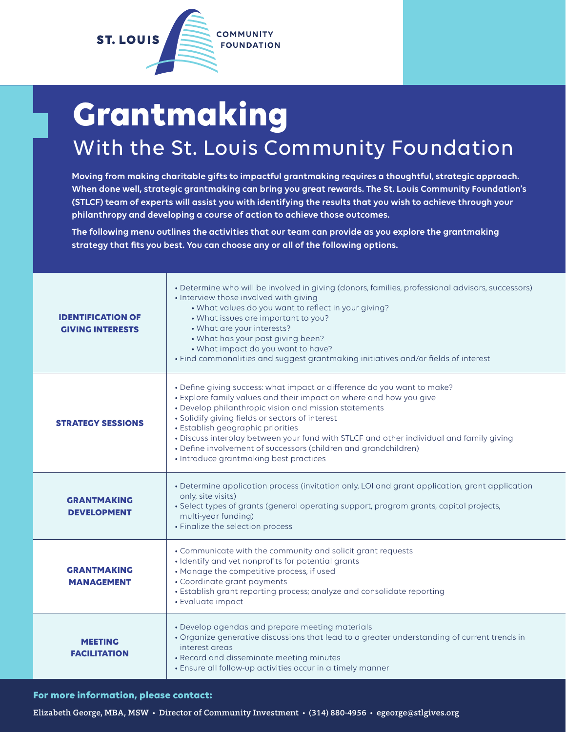

## **Grantmaking** With the St. Louis Community Foundation

**Moving from making charitable gifts to impactful grantmaking requires a thoughtful, strategic approach. When done well, strategic grantmaking can bring you great rewards. The St. Louis Community Foundation's (STLCF) team of experts will assist you with identifying the results that you wish to achieve through your philanthropy and developing a course of action to achieve those outcomes.**

**The following menu outlines the activities that our team can provide as you explore the grantmaking strategy that fits you best. You can choose any or all of the following options.**

| <b>IDENTIFICATION OF</b><br><b>GIVING INTERESTS</b> | • Determine who will be involved in giving (donors, families, professional advisors, successors)<br>• Interview those involved with giving<br>. What values do you want to reflect in your giving?<br>• What issues are important to you?<br>• What are your interests?<br>. What has your past giving been?<br>• What impact do you want to have?<br>. Find commonalities and suggest grantmaking initiatives and/or fields of interest                                                               |  |
|-----------------------------------------------------|--------------------------------------------------------------------------------------------------------------------------------------------------------------------------------------------------------------------------------------------------------------------------------------------------------------------------------------------------------------------------------------------------------------------------------------------------------------------------------------------------------|--|
| <b>STRATEGY SESSIONS</b>                            | • Define giving success: what impact or difference do you want to make?<br>• Explore family values and their impact on where and how you give<br>• Develop philanthropic vision and mission statements<br>· Solidify giving fields or sectors of interest<br>• Establish geographic priorities<br>. Discuss interplay between your fund with STLCF and other individual and family giving<br>• Define involvement of successors (children and grandchildren)<br>• Introduce grantmaking best practices |  |
| <b>GRANTMAKING</b><br><b>DEVELOPMENT</b>            | • Determine application process (invitation only, LOI and grant application, grant application<br>only, site visits)<br>• Select types of grants (general operating support, program grants, capital projects,<br>multi-year funding)<br>• Finalize the selection process                                                                                                                                                                                                                              |  |
| <b>GRANTMAKING</b><br><b>MANAGEMENT</b>             | • Communicate with the community and solicit grant requests<br>· Identify and vet nonprofits for potential grants<br>• Manage the competitive process, if used<br>• Coordinate grant payments<br>• Establish grant reporting process; analyze and consolidate reporting<br>• Evaluate impact                                                                                                                                                                                                           |  |
| <b>MEETING</b><br><b>FACILITATION</b>               | • Develop agendas and prepare meeting materials<br>• Organize generative discussions that lead to a greater understanding of current trends in<br>interest areas<br>• Record and disseminate meeting minutes<br>• Ensure all follow-up activities occur in a timely manner                                                                                                                                                                                                                             |  |

**For more information, please contact:**

Elizabeth George, MBA, MSW • Director of Community Investment • (314) 880-4956 • egeorge@stlgives.org